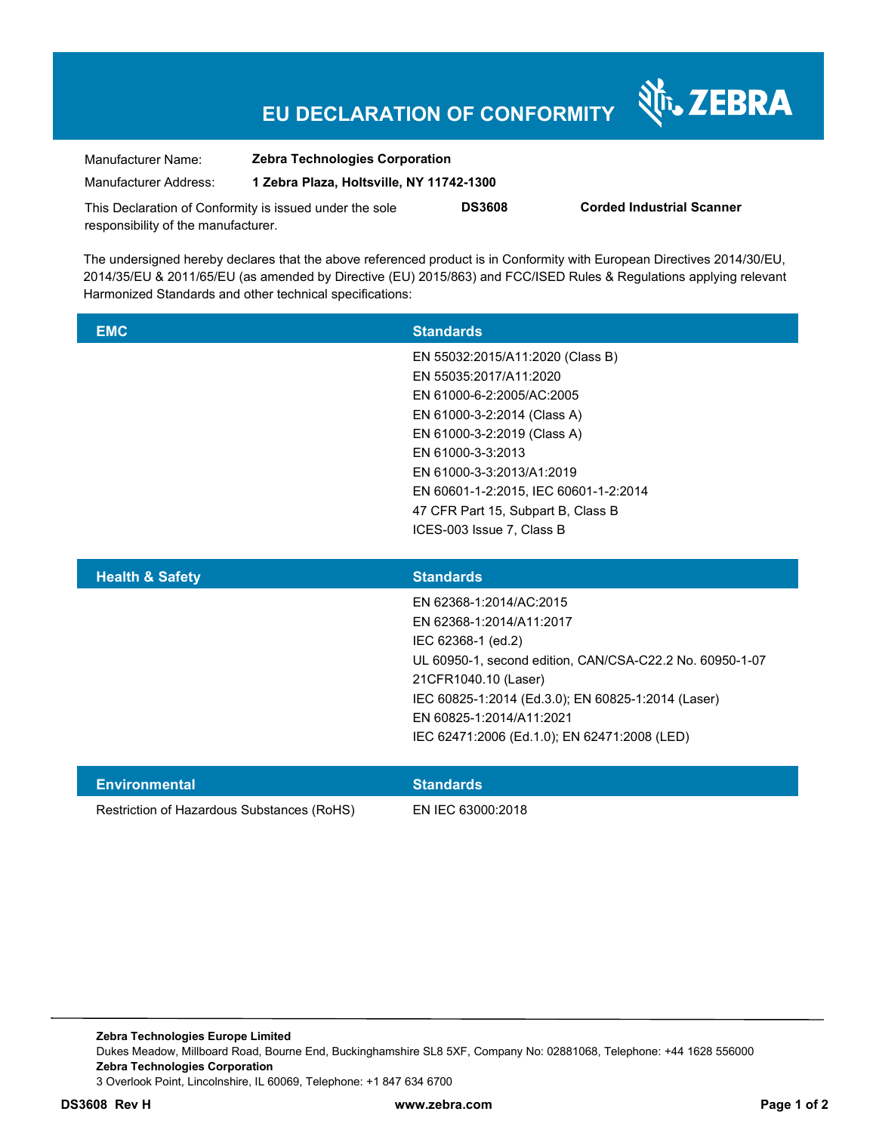## **EU DECLARATION OF CONFORMITY**

Nr. ZEBRA

| Manufacturer Name:                                                                             | <b>Zebra Technologies Corporation</b>    |               |                                  |
|------------------------------------------------------------------------------------------------|------------------------------------------|---------------|----------------------------------|
| Manufacturer Address:                                                                          | 1 Zebra Plaza, Holtsville, NY 11742-1300 |               |                                  |
| This Declaration of Conformity is issued under the sole<br>responsibility of the manufacturer. |                                          | <b>DS3608</b> | <b>Corded Industrial Scanner</b> |

The undersigned hereby declares that the above referenced product is in Conformity with European Directives 2014/30/EU, 2014/35/EU & 2011/65/EU (as amended by Directive (EU) 2015/863) and FCC/ISED Rules & Regulations applying relevant Harmonized Standards and other technical specifications:

| <b>EMC</b>                 | <b>Standards</b>                      |  |
|----------------------------|---------------------------------------|--|
|                            | EN 55032:2015/A11:2020 (Class B)      |  |
|                            | EN 55035:2017/A11:2020                |  |
|                            | EN 61000-6-2:2005/AC:2005             |  |
|                            | EN 61000-3-2:2014 (Class A)           |  |
|                            | EN 61000-3-2:2019 (Class A)           |  |
|                            | EN 61000-3-3:2013                     |  |
|                            | EN 61000-3-3:2013/A1:2019             |  |
|                            | EN 60601-1-2:2015, IEC 60601-1-2:2014 |  |
|                            | 47 CFR Part 15, Subpart B, Class B    |  |
|                            | ICES-003 Issue 7, Class B             |  |
|                            |                                       |  |
| <b>Health &amp; Safety</b> | <b>Standards</b>                      |  |
|                            |                                       |  |

| Para dia mpikambang kalendar | <b>Other of a state</b>                                  |
|------------------------------|----------------------------------------------------------|
|                              |                                                          |
|                              | IEC 62471:2006 (Ed.1.0); EN 62471:2008 (LED)             |
|                              | EN 60825-1:2014/A11:2021                                 |
|                              | IEC 60825-1:2014 (Ed.3.0); EN 60825-1:2014 (Laser)       |
|                              | 21CFR1040.10 (Laser)                                     |
|                              | UL 60950-1, second edition, CAN/CSA-C22.2 No. 60950-1-07 |
|                              | IEC 62368-1 (ed.2)                                       |
|                              | EN 62368-1:2014/A11:2017                                 |
|                              | EN 62368-1:2014/AC:2015                                  |
|                              |                                                          |

| Environmental                              | <b>Standards</b>  |
|--------------------------------------------|-------------------|
| Restriction of Hazardous Substances (RoHS) | EN IEC 63000:2018 |